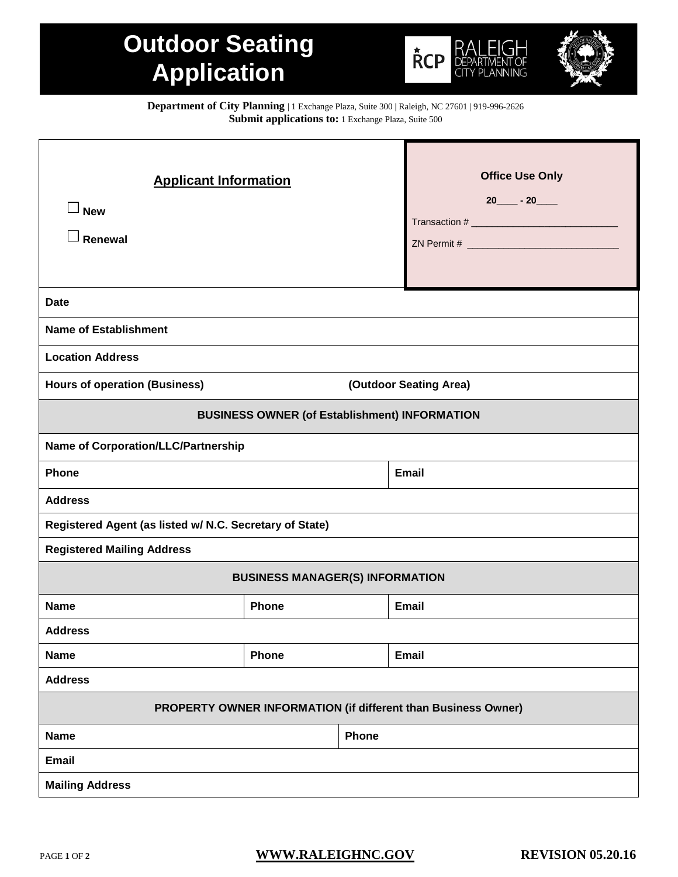## **Outdoor Seating Application**





**Department of City Planning** | 1 Exchange Plaza, Suite 300 | Raleigh, NC 27601 | 919-996-2626 **Submit applications to:** 1 Exchange Plaza, Suite 500

| <b>Applicant Information</b><br><b>New</b><br>Renewal          |              | <b>Office Use Only</b><br>$20 - 20$ |  |  |  |
|----------------------------------------------------------------|--------------|-------------------------------------|--|--|--|
| <b>Date</b>                                                    |              |                                     |  |  |  |
| <b>Name of Establishment</b>                                   |              |                                     |  |  |  |
| <b>Location Address</b>                                        |              |                                     |  |  |  |
| (Outdoor Seating Area)<br><b>Hours of operation (Business)</b> |              |                                     |  |  |  |
| <b>BUSINESS OWNER (of Establishment) INFORMATION</b>           |              |                                     |  |  |  |
| <b>Name of Corporation/LLC/Partnership</b>                     |              |                                     |  |  |  |
| Phone                                                          |              | <b>Email</b>                        |  |  |  |
| <b>Address</b>                                                 |              |                                     |  |  |  |
| Registered Agent (as listed w/ N.C. Secretary of State)        |              |                                     |  |  |  |
| <b>Registered Mailing Address</b>                              |              |                                     |  |  |  |
| <b>BUSINESS MANAGER(S) INFORMATION</b>                         |              |                                     |  |  |  |
| <b>Name</b>                                                    | <b>Phone</b> | <b>Email</b>                        |  |  |  |
| <b>Address</b>                                                 |              |                                     |  |  |  |
| <b>Name</b>                                                    | Phone        | <b>Email</b>                        |  |  |  |
| <b>Address</b>                                                 |              |                                     |  |  |  |
| PROPERTY OWNER INFORMATION (if different than Business Owner)  |              |                                     |  |  |  |
| Phone<br><b>Name</b>                                           |              |                                     |  |  |  |
| <b>Email</b>                                                   |              |                                     |  |  |  |
| <b>Mailing Address</b>                                         |              |                                     |  |  |  |